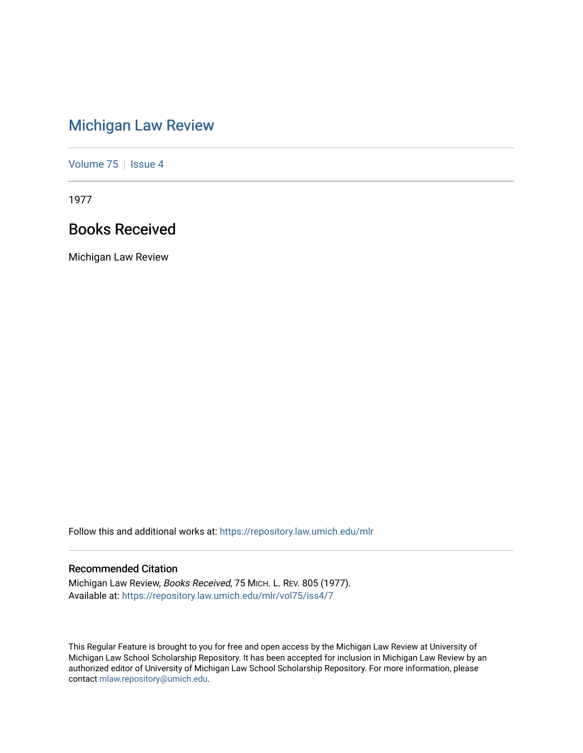# [Michigan Law Review](https://repository.law.umich.edu/mlr)

[Volume 75](https://repository.law.umich.edu/mlr/vol75) | [Issue 4](https://repository.law.umich.edu/mlr/vol75/iss4)

1977

# Books Received

Michigan Law Review

Follow this and additional works at: [https://repository.law.umich.edu/mlr](https://repository.law.umich.edu/mlr?utm_source=repository.law.umich.edu%2Fmlr%2Fvol75%2Fiss4%2F7&utm_medium=PDF&utm_campaign=PDFCoverPages) 

## Recommended Citation

Michigan Law Review, Books Received, 75 MICH. L. REV. 805 (1977). Available at: [https://repository.law.umich.edu/mlr/vol75/iss4/7](https://repository.law.umich.edu/mlr/vol75/iss4/7?utm_source=repository.law.umich.edu%2Fmlr%2Fvol75%2Fiss4%2F7&utm_medium=PDF&utm_campaign=PDFCoverPages)

This Regular Feature is brought to you for free and open access by the Michigan Law Review at University of Michigan Law School Scholarship Repository. It has been accepted for inclusion in Michigan Law Review by an authorized editor of University of Michigan Law School Scholarship Repository. For more information, please contact [mlaw.repository@umich.edu](mailto:mlaw.repository@umich.edu).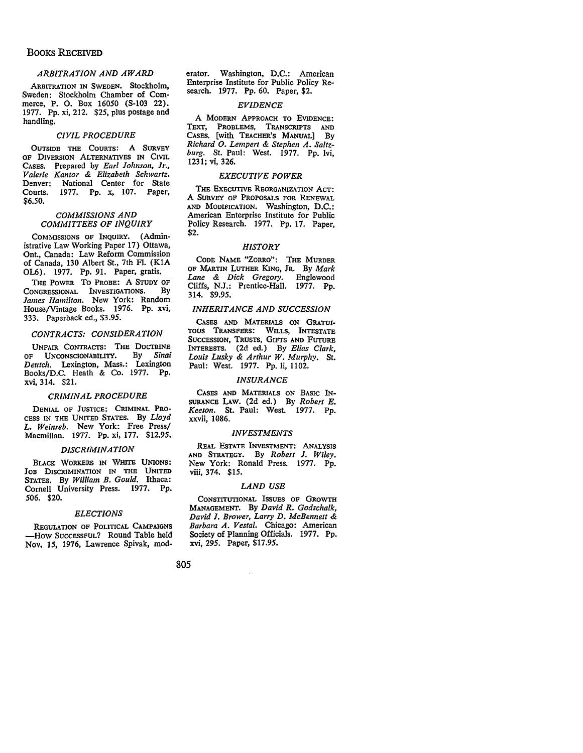## BOOKS RECEIVED

### *ARBITRATION AND AWARD*

ARBITRATION IN SWEDEN. Stockholm, Sweden: Stockholm Chamber of Commerce, P. 0. Box 16050 (S-103 22). 1977. Pp. xi, 212. \$25, plus postage and handling.

#### *CIVIL PROCEDURE*

OUTSIDE THE COURTS: A SURVEY OF DIVERSION ALTERNATIVES IN CIVIL CASES. Prepared by *Earl Johnson, Jr., Valerie Kantor* & *Elizabeth Schwartz.*  Denver: National Center for State Courts. 1977. Pp. x, 107. Paper, \$6.50.

#### *COMMISSIONS AND COMMITTEES OF INQUIRY*

COMMISSIONS OF INQUIRY. (Administrative Law Working Paper 17) Ottawa, Ont., Canada: Law Reform Commission of Canada, 130 Albert St., 7th FI. (KIA OL6). 1977. Pp. 91. Paper, gratis.

THE POWER To PROBE: A STUDY OF CONGRESSIONAL INVESTIGATIONS. By *lames Hamilton.* New York: Random House/Vintage Books. 1976. Pp. xvi, 333. Paperback ed., \$3.95.

#### *CONTRACTS: CONSIDERATION*

UNFAIR CoNTRAcrs: THE DOCTRINE OF UNCONSCIONABILITY. By *Sinai Deutch.* Lexington, Mass.: Lexington Books/D.C. Heath & Co. 1977. Pp. xvi, 314. \$21.

#### *CRIMINAL PROCEDURE*

DENIAL OF JUSTICE: CRIMINAL PRO-CESS IN THE UNITED STATES. By *Lloyd L. Weinreb.* New York: Free Press/ Macmillan. 1977. Pp. xi, 177. \$12.95.

#### *DISCRIMINATION*

BLACK WORKERS IN WHITE UNIONS: JOB DISCRIMINATION IN THE UNITED STATES. By *William B. Gould.* Ithaca: Cornell University Press. 1977. Pp. 506. \$20.

#### *ELECTIONS*

REGULATION OF POLITICAL **CAMPAIGNS**  -How SuccESSFUL? Round Table held Nov. 15, 1976, Lawrence Spivak, moderator. Washington, D.C.: American Enterprise Institute for Public Policy Research. 1977. Pp. 60. Paper, \$2.

#### *EVIDENCE*

A MODERN APPROACH TO EVIDENCE: TEXT, PROBLEMS, TRANSCRIPTS AND CASES. [with TEACHER'S MANUAL] By *Richard 0. Lempert* & *Stephen A. Saltzburg.* St. Paul: West. 1977. Pp. lvi, 1231; vi, 326.

#### *EXECUTIVE POWER*

THE EXECUTIVE REORGANIZATION ACT: A SURVEY OF PROPOSALS FOR RENEWAL AND MODIFICATION. Washington, D.C.: American Enterprise Institute for Public Policy Research. 1977. Pp. 17. Paper, \$2.

#### *HISTORY*

CODE NAME "ZORRO": THE MURDER OF MARTIN LUTHER KING, JR. By *Mark Lane* &: *Dick Gregory.* Englewood Cliffs, N.J.: Prentice-Hall. 1977. Pp. 314. \$9.95.

#### *INHERITANCE AND SUCCESSION*

CASES AND MATERIALS ON GRATUI-TOUS TRANSFERS: WILLS, INTESTATE SUCCESSION, TRUSTS, GIFTS AND FUTURE INTERESTS. (2d ed.) By *Elias Clark, Louis Lusky* & *Arthur W. Murphy.* St. Paul: West. 1977. Pp. Ii, 1102.

#### *INSURANCE*

CASES AND MATERIALS ON BASIC IN-SURANCE LAW. (2d ed.) By *Robert E. Keeton.* St. Paul: West. 1977. Pp. xxvii, 1086.

#### *INVESTMENTS*

REAL EsTATE INVESTMENT! ANALYSIS AND STRATEGY. By *Robert l. Wiley.*  New York: Ronald Press. 1977. Pp. viii, 374. \$15.

#### *LAND USE*

CONSTITUTIONAL ISSUES OF GROWTH MANAGEMENT, By *David R. Godschalk, David ]. Brower, Larry D. McBennett* &: *Barbara A. Vestal.* Chicago: American Society of Planning Officials. 1977. Pp. xvi, 295. Paper, \$17.95.

805